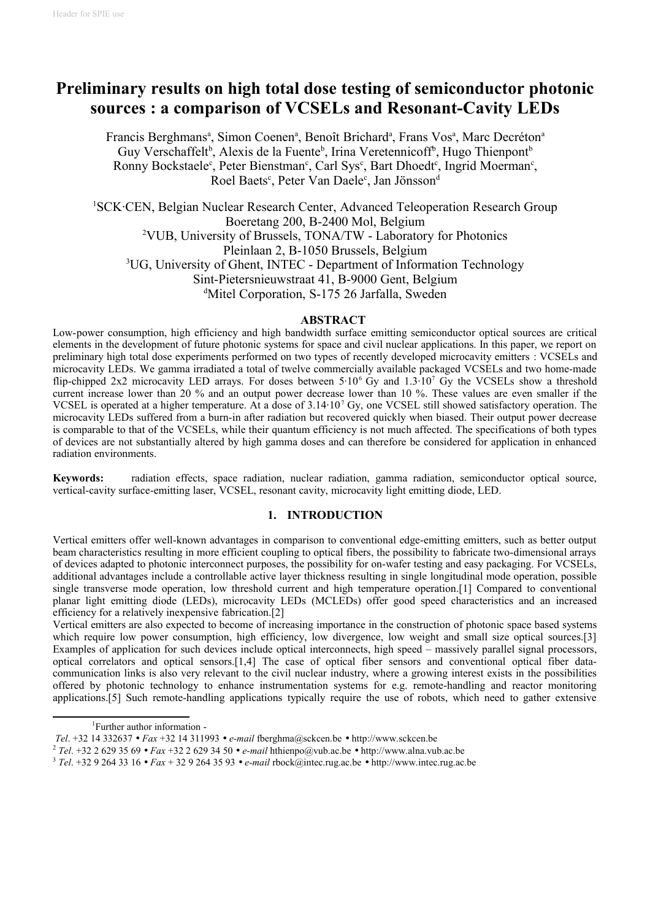# **Preliminary results on high total dose testing of semiconductor photonic sources : a comparison of VCSELs and Resonant-Cavity LEDs**

Francis Berghmans<sup>a</sup>, Simon Coenen<sup>a</sup>, Benoît Brichard<sup>a</sup>, Frans Vos<sup>a</sup>, Marc Decréton<sup>a</sup> Guy Verschaffelt<sup>b</sup>, Alexis de la Fuente<sup>b</sup>, Irina Veretennicoff<sup>b</sup>, Hugo Thienpont<sup>b</sup> Ronny Bockstaele<sup>c</sup>, Peter Bienstman<sup>c</sup>, Carl Sys<sup>c</sup>, Bart Dhoedt<sup>c</sup>, Ingrid Moerman<sup>c</sup>, Roel Baets<sup>c</sup>, Peter Van Daele<sup>c</sup>, Jan Jönsson<sup>d</sup>

[1](#page-0-0)SCK·CEN, Belgian Nuclear Research Center, Advanced Teleoperation Research Group Boeretang 200, B-2400 Mol, Belgium [2](#page-0-1)VUB, University of Brussels, TONA/TW - Laboratory for Photonics Pleinlaan 2, B-1050 Brussels, Belgium [3](#page-0-2)UG, University of Ghent, INTEC - Department of Information Technology Sint-Pietersnieuwstraat 41, B-9000 Gent, Belgium <sup>d</sup>Mitel Corporation, S-175 26 Jarfalla, Sweden

#### **ABSTRACT**

Low-power consumption, high efficiency and high bandwidth surface emitting semiconductor optical sources are critical elements in the development of future photonic systems for space and civil nuclear applications. In this paper, we report on preliminary high total dose experiments performed on two types of recently developed microcavity emitters : VCSELs and microcavity LEDs. We gamma irradiated a total of twelve commercially available packaged VCSELs and two home-made flip-chipped 2x2 microcavity LED arrays. For doses between  $5.10^6$  Gy and  $1.3.10^7$  Gy the VCSELs show a threshold current increase lower than 20 % and an output power decrease lower than 10 %. These values are even smaller if the VCSEL is operated at a higher temperature. At a dose of 3.14·10<sup>7</sup> Gy, one VCSEL still showed satisfactory operation. The microcavity LEDs suffered from a burn-in after radiation but recovered quickly when biased. Their output power decrease is comparable to that of the VCSELs, while their quantum efficiency is not much affected. The specifications of both types of devices are not substantially altered by high gamma doses and can therefore be considered for application in enhanced radiation environments.

**Keywords:** radiation effects, space radiation, nuclear radiation, gamma radiation, semiconductor optical source, vertical-cavity surface-emitting laser, VCSEL, resonant cavity, microcavity light emitting diode, LED.

## **1. INTRODUCTION**

Vertical emitters offer well-known advantages in comparison to conventional edge-emitting emitters, such as better output beam characteristics resulting in more efficient coupling to optical fibers, the possibility to fabricate two-dimensional arrays of devices adapted to photonic interconnect purposes, the possibility for on-wafer testing and easy packaging. For VCSELs, additional advantages include a controllable active layer thickness resulting in single longitudinal mode operation, possible single transverse mode operation, low threshold current and high temperature operation.[1] Compared to conventional planar light emitting diode (LEDs), microcavity LEDs (MCLEDs) offer good speed characteristics and an increased efficiency for a relatively inexpensive fabrication.[2]

Vertical emitters are also expected to become of increasing importance in the construction of photonic space based systems which require low power consumption, high efficiency, low divergence, low weight and small size optical sources.[3] Examples of application for such devices include optical interconnects, high speed – massively parallel signal processors, optical correlators and optical sensors.[1,4] The case of optical fiber sensors and conventional optical fiber datacommunication links is also very relevant to the civil nuclear industry, where a growing interest exists in the possibilities offered by photonic technology to enhance instrumentation systems for e.g. remote-handling and reactor monitoring applications.[5] Such remote-handling applications typically require the use of robots, which need to gather extensive

<span id="page-0-0"></span><sup>1</sup>Further author information -

*Tel*. +32 14 332637 • *Fax* +32 14 311993 • *e-mail* fberghma@sckcen.be • http://www.sckcen.be

<span id="page-0-1"></span><sup>2</sup> *Tel*. +32 2 629 35 69 • *Fax* +32 2 629 34 50 • *e-mail* hthienpo@vub.ac.be • http://www.alna.vub.ac.be

<span id="page-0-2"></span><sup>3</sup> *Tel*. +32 9 264 33 16 • *Fax* + 32 9 264 35 93 • *e-mail* rbock@intec.rug.ac.be • http://www.intec.rug.ac.be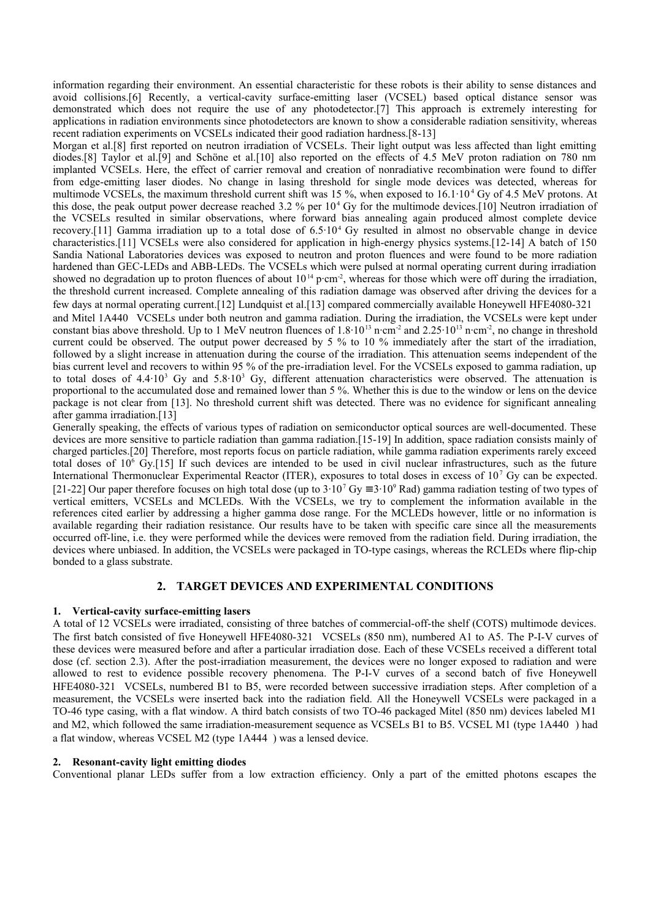information regarding their environment. An essential characteristic for these robots is their ability to sense distances and avoid collisions.[6] Recently, a vertical-cavity surface-emitting laser (VCSEL) based optical distance sensor was demonstrated which does not require the use of any photodetector.[7] This approach is extremely interesting for applications in radiation environments since photodetectors are known to show a considerable radiation sensitivity, whereas recent radiation experiments on VCSELs indicated their good radiation hardness.[8-13]

Morgan et al.[8] first reported on neutron irradiation of VCSELs. Their light output was less affected than light emitting diodes.[8] Taylor et al.[9] and Schöne et al.[10] also reported on the effects of 4.5 MeV proton radiation on 780 nm implanted VCSELs. Here, the effect of carrier removal and creation of nonradiative recombination were found to differ from edge-emitting laser diodes. No change in lasing threshold for single mode devices was detected, whereas for multimode VCSELs, the maximum threshold current shift was 15 %, when exposed to  $16.1 \cdot 10^4$  Gy of 4.5 MeV protons. At this dose, the peak output power decrease reached 3.2 % per  $10<sup>4</sup>$  Gy for the multimode devices. [10] Neutron irradiation of the VCSELs resulted in similar observations, where forward bias annealing again produced almost complete device recovery.[11] Gamma irradiation up to a total dose of 6.5·10<sup>4</sup> Gy resulted in almost no observable change in device characteristics.[11] VCSELs were also considered for application in high-energy physics systems.[12-14] A batch of 150 Sandia National Laboratories devices was exposed to neutron and proton fluences and were found to be more radiation hardened than GEC-LEDs and ABB-LEDs. The VCSELs which were pulsed at normal operating current during irradiation showed no degradation up to proton fluences of about  $10^{14}$  p·cm<sup>-2</sup>, whereas for those which were off during the irradiation, the threshold current increased. Complete annealing of this radiation damage was observed after driving the devices for a few days at normal operating current.[12] Lundquist et al.[13] compared commercially available Honeywell HFE4080-321<sup>®</sup> and Mitel 1A440<sup>®</sup> VCSELs under both neutron and gamma radiation. During the irradiation, the VCSELs were kept under constant bias above threshold. Up to 1 MeV neutron fluences of  $1.8 \cdot 10^{13}$  n·cm<sup>-2</sup> and  $2.25 \cdot 10^{13}$  n·cm<sup>-2</sup>, no change in threshold current could be observed. The output power decreased by 5 % to 10 % immediately after the start of the irradiation, followed by a slight increase in attenuation during the course of the irradiation. This attenuation seems independent of the bias current level and recovers to within 95 % of the pre-irradiation level. For the VCSELs exposed to gamma radiation, up to total doses of  $4.4 \cdot 10^3$  Gy and  $5.8 \cdot 10^3$  Gy, different attenuation characteristics were observed. The attenuation is proportional to the accumulated dose and remained lower than 5 %. Whether this is due to the window or lens on the device package is not clear from [13]. No threshold current shift was detected. There was no evidence for significant annealing after gamma irradiation.[13]

Generally speaking, the effects of various types of radiation on semiconductor optical sources are well-documented. These devices are more sensitive to particle radiation than gamma radiation.[15-19] In addition, space radiation consists mainly of charged particles.[20] Therefore, most reports focus on particle radiation, while gamma radiation experiments rarely exceed total doses of 10<sup>6</sup> Gy.[15] If such devices are intended to be used in civil nuclear infrastructures, such as the future International Thermonuclear Experimental Reactor (ITER), exposures to total doses in excess of 10<sup>7</sup> Gy can be expected. [21-22] Our paper therefore focuses on high total dose (up to  $3.10^7$  Gy  $\equiv 3.10^9$  Rad) gamma radiation testing of two types of vertical emitters, VCSELs and MCLEDs. With the VCSELs, we try to complement the information available in the references cited earlier by addressing a higher gamma dose range. For the MCLEDs however, little or no information is available regarding their radiation resistance. Our results have to be taken with specific care since all the measurements occurred off-line, i.e. they were performed while the devices were removed from the radiation field. During irradiation, the devices where unbiased. In addition, the VCSELs were packaged in TO-type casings, whereas the RCLEDs where flip-chip bonded to a glass substrate.

## **2. TARGET DEVICES AND EXPERIMENTAL CONDITIONS**

## **1. Vertical-cavity surface-emitting lasers**

A total of 12 VCSELs were irradiated, consisting of three batches of commercial-off-the shelf (COTS) multimode devices. The first batch consisted of five Honeywell HFE4080-321<sup>®</sup> VCSELs (850 nm), numbered A1 to A5. The P-I-V curves of these devices were measured before and after a particular irradiation dose. Each of these VCSELs received a different total dose (cf. section 2.3). After the post-irradiation measurement, the devices were no longer exposed to radiation and were allowed to rest to evidence possible recovery phenomena. The P-I-V curves of a second batch of five Honeywell HFE4080-321 VCSELs, numbered B1 to B5, were recorded between successive irradiation steps. After completion of a measurement, the VCSELs were inserted back into the radiation field. All the Honeywell VCSELs were packaged in a TO-46 type casing, with a flat window. A third batch consists of two TO-46 packaged Mitel (850 nm) devices labeled M1 and M2, which followed the same irradiation-measurement sequence as VCSELs B1 to B5. VCSEL M1 (type  $1A440^{\circ}$ ) had a flat window, whereas VCSEL M2 (type 1A444<sup>®</sup>) was a lensed device.

## **2. Resonant-cavity light emitting diodes**

Conventional planar LEDs suffer from a low extraction efficiency. Only a part of the emitted photons escapes the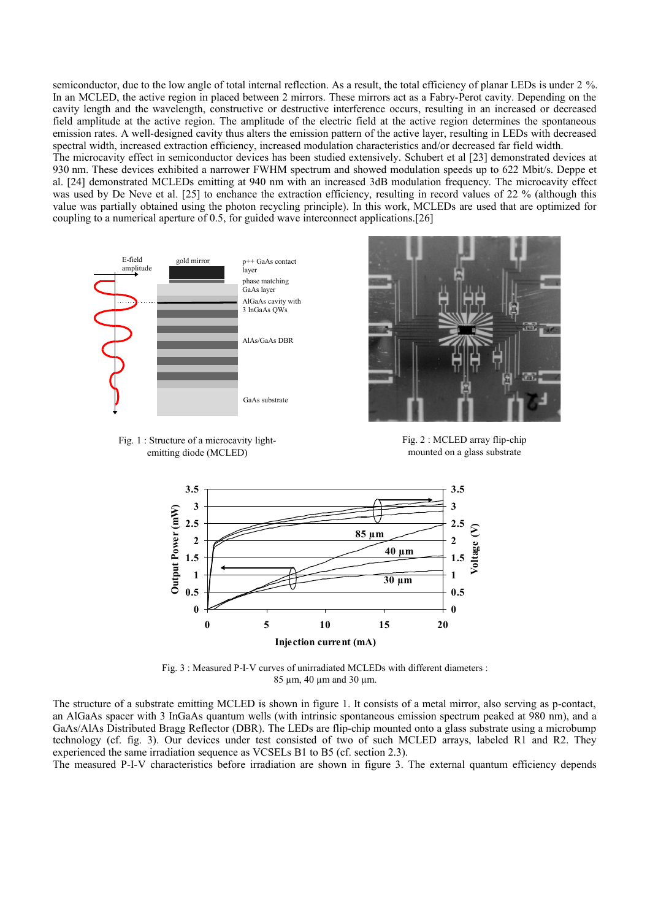semiconductor, due to the low angle of total internal reflection. As a result, the total efficiency of planar LEDs is under 2 %. In an MCLED, the active region in placed between 2 mirrors. These mirrors act as a Fabry-Perot cavity. Depending on the cavity length and the wavelength, constructive or destructive interference occurs, resulting in an increased or decreased field amplitude at the active region. The amplitude of the electric field at the active region determines the spontaneous emission rates. A well-designed cavity thus alters the emission pattern of the active layer, resulting in LEDs with decreased spectral width, increased extraction efficiency, increased modulation characteristics and/or decreased far field width.

The microcavity effect in semiconductor devices has been studied extensively. Schubert et al [23] demonstrated devices at 930 nm. These devices exhibited a narrower FWHM spectrum and showed modulation speeds up to 622 Mbit/s. Deppe et al. [24] demonstrated MCLEDs emitting at 940 nm with an increased 3dB modulation frequency. The microcavity effect was used by De Neve et al. [25] to enchance the extraction efficiency, resulting in record values of 22 % (although this value was partially obtained using the photon recycling principle). In this work, MCLEDs are used that are optimized for coupling to a numerical aperture of 0.5, for guided wave interconnect applications.[26]







Fig. 2 : MCLED array flip-chip mounted on a glass substrate



Fig. 3 : Measured P-I-V curves of unirradiated MCLEDs with different diameters : 85 µm, 40 µm and 30 µm.

The structure of a substrate emitting MCLED is shown in figure 1. It consists of a metal mirror, also serving as p-contact, an AlGaAs spacer with 3 InGaAs quantum wells (with intrinsic spontaneous emission spectrum peaked at 980 nm), and a GaAs/AlAs Distributed Bragg Reflector (DBR). The LEDs are flip-chip mounted onto a glass substrate using a microbump technology (cf. fig. 3). Our devices under test consisted of two of such MCLED arrays, labeled R1 and R2. They experienced the same irradiation sequence as VCSELs B1 to B5 (cf. section 2.3).

The measured P-I-V characteristics before irradiation are shown in figure 3. The external quantum efficiency depends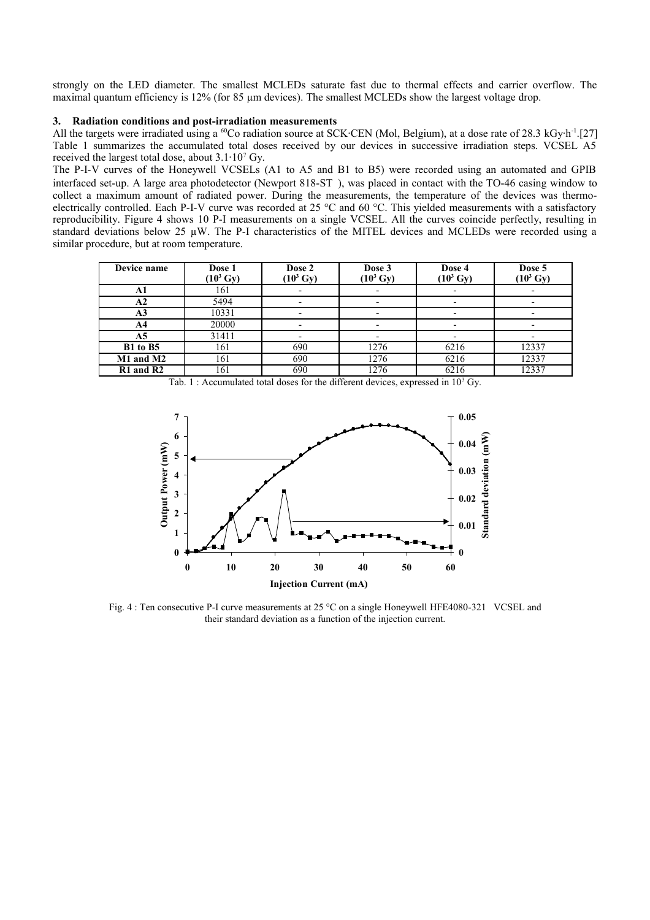strongly on the LED diameter. The smallest MCLEDs saturate fast due to thermal effects and carrier overflow. The maximal quantum efficiency is 12% (for 85  $\mu$ m devices). The smallest MCLEDs show the largest voltage drop.

#### **3. Radiation conditions and post-irradiation measurements**

All the targets were irradiated using a  $^{60}$ Co radiation source at SCK·CEN (Mol, Belgium), at a dose rate of 28.3 kGy·h<sup>-1</sup>.[27] Table 1 summarizes the accumulated total doses received by our devices in successive irradiation steps. VCSEL A5 received the largest total dose, about  $3.1 \cdot 10^7$  Gy.

The P-I-V curves of the Honeywell VCSELs (A1 to A5 and B1 to B5) were recorded using an automated and GPIB interfaced set-up. A large area photodetector (Newport 818-ST®), was placed in contact with the TO-46 casing window to collect a maximum amount of radiated power. During the measurements, the temperature of the devices was thermoelectrically controlled. Each P-I-V curve was recorded at 25 °C and 60 °C. This yielded measurements with a satisfactory reproducibility. Figure 4 shows 10 P-I measurements on a single VCSEL. All the curves coincide perfectly, resulting in standard deviations below 25 µW. The P-I characteristics of the MITEL devices and MCLEDs were recorded using a similar procedure, but at room temperature.

| Device name    | Dose 1<br>$(10^3 \text{ Gy})$ | Dose 2<br>$(10^3 \text{ Gy})$ | Dose 3<br>$(10^3 \text{ Gy})$ | Dose 4<br>$(10^3 \text{ Gy})$ | Dose 5<br>$(10^3 \text{ Gy})$ |
|----------------|-------------------------------|-------------------------------|-------------------------------|-------------------------------|-------------------------------|
| A1             | 161                           |                               |                               |                               |                               |
| A <sub>2</sub> | 5494                          |                               |                               |                               |                               |
| A <sub>3</sub> | 10331                         |                               |                               |                               |                               |
| A4             | 20000                         |                               |                               |                               |                               |
| A5             | 31411                         |                               |                               |                               |                               |
| B1 to B5       | 161                           | 690                           | 1276                          | 6216                          | 12337                         |
| M1 and M2      | 161                           | 690                           | 1276                          | 6216                          | 12337                         |
| $R1$ and $R2$  | 161                           | 690                           | 1276                          | 6216                          | 12337                         |

Tab. 1 : Accumulated total doses for the different devices, expressed in  $10<sup>3</sup>$  Gy.



Fig. 4 : Ten consecutive P-I curve measurements at 25 °C on a single Honeywell HFE4080-321<sup>®</sup> VCSEL and their standard deviation as a function of the injection current.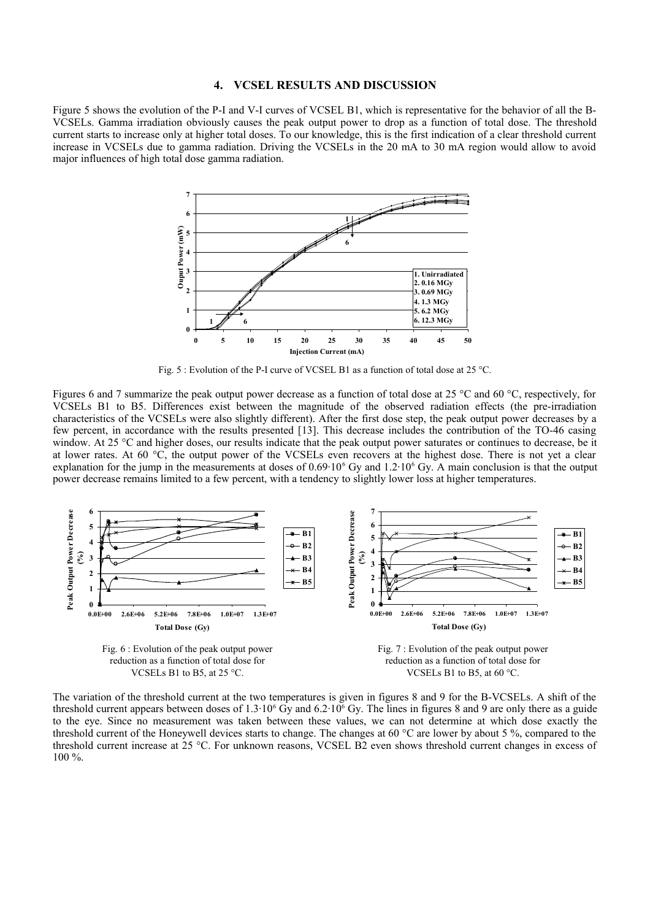#### **4. VCSEL RESULTS AND DISCUSSION**

Figure 5 shows the evolution of the P-I and V-I curves of VCSEL B1, which is representative for the behavior of all the B-VCSELs. Gamma irradiation obviously causes the peak output power to drop as a function of total dose. The threshold current starts to increase only at higher total doses. To our knowledge, this is the first indication of a clear threshold current increase in VCSELs due to gamma radiation. Driving the VCSELs in the 20 mA to 30 mA region would allow to avoid major influences of high total dose gamma radiation.



Fig. 5 : Evolution of the P-I curve of VCSEL B1 as a function of total dose at 25 °C.

Figures 6 and 7 summarize the peak output power decrease as a function of total dose at 25 °C and 60 °C, respectively, for VCSELs B1 to B5. Differences exist between the magnitude of the observed radiation effects (the pre-irradiation characteristics of the VCSELs were also slightly different). After the first dose step, the peak output power decreases by a few percent, in accordance with the results presented [13]. This decrease includes the contribution of the TO-46 casing window. At 25 °C and higher doses, our results indicate that the peak output power saturates or continues to decrease, be it at lower rates. At 60 °C, the output power of the VCSELs even recovers at the highest dose. There is not yet a clear explanation for the jump in the measurements at doses of  $0.69 \cdot 10^6$  Gy and  $1.2 \cdot 10^6$  Gy. A main conclusion is that the output power decrease remains limited to a few percent, with a tendency to slightly lower loss at higher temperatures.



The variation of the threshold current at the two temperatures is given in figures 8 and 9 for the B-VCSELs. A shift of the threshold current appears between doses of  $1.3 \cdot 10^6$  Gy and  $6.2 \cdot 10^6$  Gy. The lines in figures 8 and 9 are only there as a guide to the eye. Since no measurement was taken between these values, we can not determine at which dose exactly the threshold current of the Honeywell devices starts to change. The changes at 60 °C are lower by about 5 %, compared to the threshold current increase at 25 °C. For unknown reasons, VCSEL B2 even shows threshold current changes in excess of 100 %.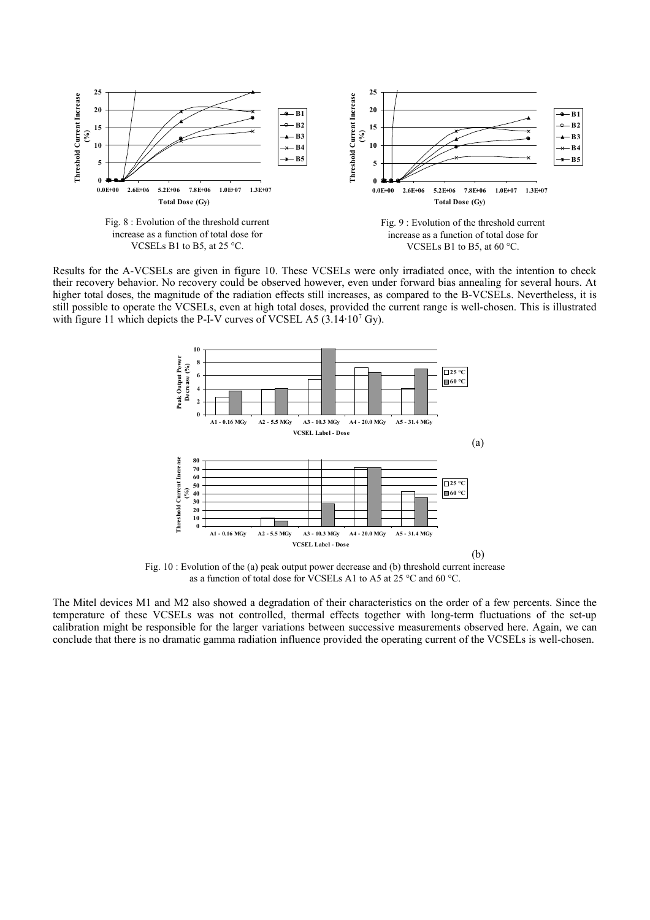

Results for the A-VCSELs are given in figure 10. These VCSELs were only irradiated once, with the intention to check their recovery behavior. No recovery could be observed however, even under forward bias annealing for several hours. At higher total doses, the magnitude of the radiation effects still increases, as compared to the B-VCSELs. Nevertheless, it is still possible to operate the VCSELs, even at high total doses, provided the current range is well-chosen. This is illustrated with figure 11 which depicts the P-I-V curves of VCSEL A5  $(3.14 \cdot 10^7 \text{ Gy})$ .



Fig. 10 : Evolution of the (a) peak output power decrease and (b) threshold current increase as a function of total dose for VCSELs A1 to A5 at 25 °C and 60 °C.

The Mitel devices M1 and M2 also showed a degradation of their characteristics on the order of a few percents. Since the temperature of these VCSELs was not controlled, thermal effects together with long-term fluctuations of the set-up calibration might be responsible for the larger variations between successive measurements observed here. Again, we can conclude that there is no dramatic gamma radiation influence provided the operating current of the VCSELs is well-chosen.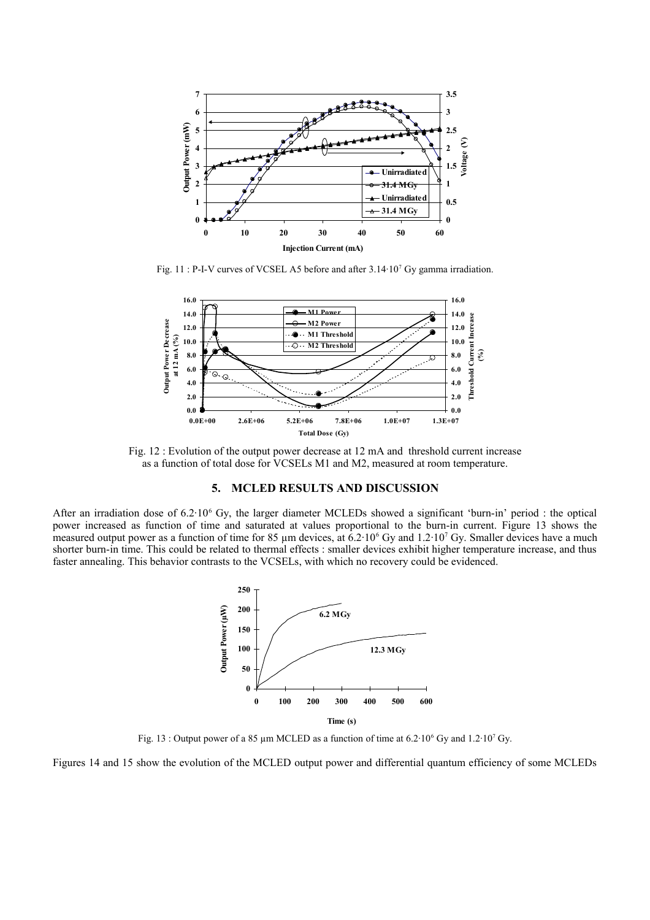

Fig. 11 : P-I-V curves of VCSEL A5 before and after  $3.14 \cdot 10^7$  Gy gamma irradiation.



Fig. 12 : Evolution of the output power decrease at 12 mA and threshold current increase as a function of total dose for VCSELs M1 and M2, measured at room temperature.

## **5. MCLED RESULTS AND DISCUSSION**

After an irradiation dose of  $6.2 \cdot 10^6$  Gy, the larger diameter MCLEDs showed a significant 'burn-in' period : the optical power increased as function of time and saturated at values proportional to the burn-in current. Figure 13 shows the measured output power as a function of time for 85  $\mu$ m devices, at 6.2 $\cdot$ 10<sup>6</sup> Gy and 1.2 $\cdot$ 10<sup>7</sup> Gy. Smaller devices have a much shorter burn-in time. This could be related to thermal effects : smaller devices exhibit higher temperature increase, and thus faster annealing. This behavior contrasts to the VCSELs, with which no recovery could be evidenced.



Fig. 13 : Output power of a 85  $\mu$ m MCLED as a function of time at 6.2·10<sup>6</sup> Gy and 1.2·10<sup>7</sup> Gy.

Figures 14 and 15 show the evolution of the MCLED output power and differential quantum efficiency of some MCLEDs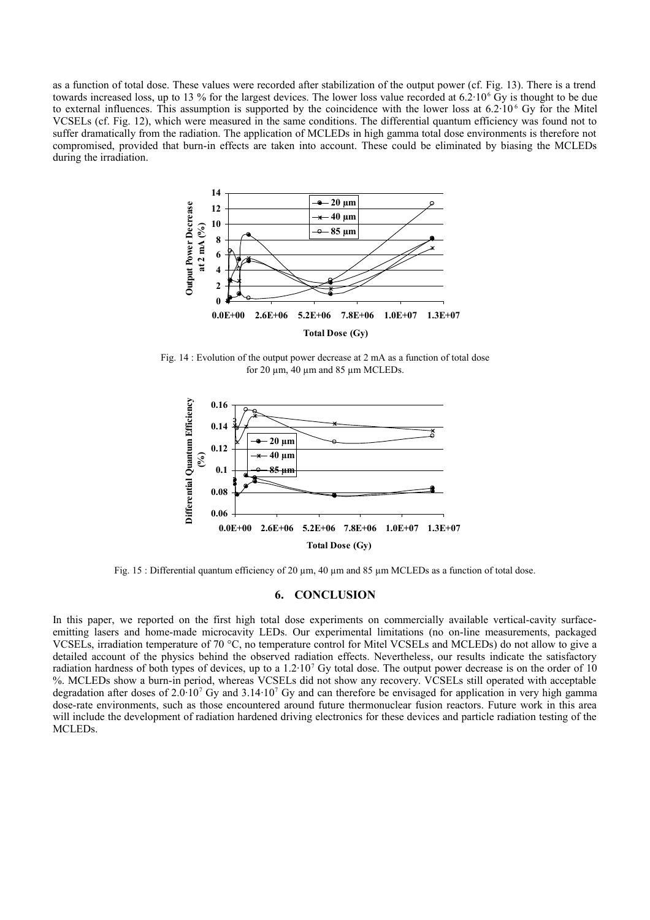as a function of total dose. These values were recorded after stabilization of the output power (cf. Fig. 13). There is a trend towards increased loss, up to 13 % for the largest devices. The lower loss value recorded at  $6.2 \cdot 10^6$  Gy is thought to be due to external influences. This assumption is supported by the coincidence with the lower loss at  $6.2 \cdot 10^6$  Gy for the Mitel VCSELs (cf. Fig. 12), which were measured in the same conditions. The differential quantum efficiency was found not to suffer dramatically from the radiation. The application of MCLEDs in high gamma total dose environments is therefore not compromised, provided that burn-in effects are taken into account. These could be eliminated by biasing the MCLEDs during the irradiation.



Fig. 14 : Evolution of the output power decrease at 2 mA as a function of total dose for 20  $\mu$ m, 40  $\mu$ m and 85  $\mu$ m MCLEDs.



Fig. 15 : Differential quantum efficiency of 20  $\mu$ m, 40  $\mu$ m and 85  $\mu$ m MCLEDs as a function of total dose.

## **6. CONCLUSION**

In this paper, we reported on the first high total dose experiments on commercially available vertical-cavity surfaceemitting lasers and home-made microcavity LEDs. Our experimental limitations (no on-line measurements, packaged VCSELs, irradiation temperature of 70 °C, no temperature control for Mitel VCSELs and MCLEDs) do not allow to give a detailed account of the physics behind the observed radiation effects. Nevertheless, our results indicate the satisfactory radiation hardness of both types of devices, up to a  $1.2 \cdot 10^7$  Gy total dose. The output power decrease is on the order of 10 %. MCLEDs show a burn-in period, whereas VCSELs did not show any recovery. VCSELs still operated with acceptable degradation after doses of 2.0 $10^7$  Gy and 3.14 $10^7$  Gy and can therefore be envisaged for application in very high gamma dose-rate environments, such as those encountered around future thermonuclear fusion reactors. Future work in this area will include the development of radiation hardened driving electronics for these devices and particle radiation testing of the MCLEDs.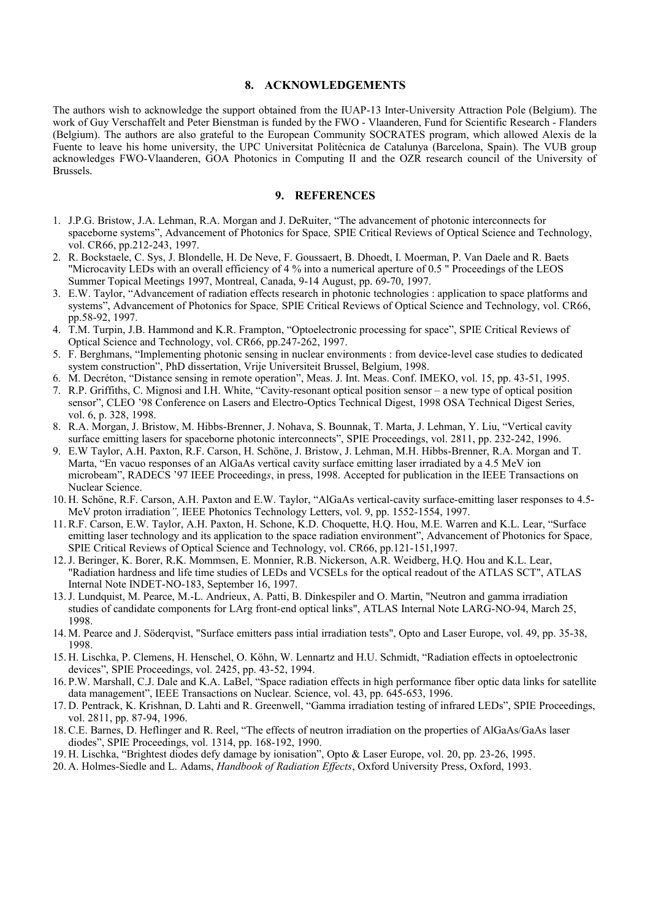#### **8. ACKNOWLEDGEMENTS**

The authors wish to acknowledge the support obtained from the IUAP-13 Inter-University Attraction Pole (Belgium). The work of Guy Verschaffelt and Peter Bienstman is funded by the FWO - Vlaanderen, Fund for Scientific Research - Flanders (Belgium). The authors are also grateful to the European Community SOCRATES program, which allowed Alexis de la Fuente to leave his home university, the UPC Universitat Politècnica de Catalunya (Barcelona, Spain). The VUB group acknowledges FWO-Vlaanderen, GOA Photonics in Computing II and the OZR research council of the University of Brussels.

## **9. REFERENCES**

- 1. J.P.G. Bristow, J.A. Lehman, R.A. Morgan and J. DeRuiter, "The advancement of photonic interconnects for spaceborne systems", Advancement of Photonics for Space*,* SPIE Critical Reviews of Optical Science and Technology, vol. CR66, pp.212-243, 1997.
- 2. R. Bockstaele, C. Sys, J. Blondelle, H. De Neve, F. Goussaert, B. Dhoedt, I. Moerman, P. Van Daele and R. Baets "Microcavity LEDs with an overall efficiency of 4 % into a numerical aperture of 0.5 " Proceedings of the LEOS Summer Topical Meetings 1997, Montreal, Canada, 9-14 August, pp. 69-70, 1997.
- 3. E.W. Taylor, "Advancement of radiation effects research in photonic technologies : application to space platforms and systems", Advancement of Photonics for Space*,* SPIE Critical Reviews of Optical Science and Technology, vol. CR66, pp.58-92, 1997.
- 4. T.M. Turpin, J.B. Hammond and K.R. Frampton, "Optoelectronic processing for space", SPIE Critical Reviews of Optical Science and Technology, vol. CR66, pp.247-262, 1997.
- 5. F. Berghmans, "Implementing photonic sensing in nuclear environments : from device-level case studies to dedicated system construction", PhD dissertation, Vrije Universiteit Brussel, Belgium, 1998.
- 6. M. Decréton, "Distance sensing in remote operation", Meas. J. Int. Meas. Conf. IMEKO, vol. 15, pp. 43-51, 1995.
- 7. R.P. Griffiths, C. Mignosi and I.H. White, "Cavity-resonant optical position sensor a new type of optical position sensor", CLEO '98 Conference on Lasers and Electro-Optics Technical Digest, 1998 OSA Technical Digest Series, vol. 6, p. 328, 1998.
- 8. R.A. Morgan, J. Bristow, M. Hibbs-Brenner, J. Nohava, S. Bounnak, T. Marta, J. Lehman, Y. Liu, "Vertical cavity surface emitting lasers for spaceborne photonic interconnects", SPIE Proceedings, vol. 2811, pp. 232-242, 1996.
- 9. E.W Taylor, A.H. Paxton, R.F. Carson, H. Schöne, J. Bristow, J. Lehman, M.H. Hibbs-Brenner, R.A. Morgan and T. Marta, "En vacuo responses of an AlGaAs vertical cavity surface emitting laser irradiated by a 4.5 MeV ion microbeam", RADECS '97 IEEE Proceeding*s*, in press, 1998. Accepted for publication in the IEEE Transactions on Nuclear Science.
- 10. H. Schöne, R.F. Carson, A.H. Paxton and E.W. Taylor, "AlGaAs vertical-cavity surface-emitting laser responses to 4.5- MeV proton irradiation*",* IEEE Photonics Technology Letters, vol. 9, pp. 1552-1554, 1997.
- 11. R.F. Carson, E.W. Taylor, A.H. Paxton, H. Schone, K.D. Choquette, H.Q. Hou, M.E. Warren and K.L. Lear, "Surface emitting laser technology and its application to the space radiation environment", Advancement of Photonics for Space*,* SPIE Critical Reviews of Optical Science and Technology, vol. CR66, pp.121-151,1997.
- 12.J. Beringer, K. Borer, R.K. Mommsen, E. Monnier, R.B. Nickerson, A.R. Weidberg, H.Q. Hou and K.L. Lear, "Radiation hardness and life time studies of LEDs and VCSELs for the optical readout of the ATLAS SCT", ATLAS Internal Note INDET-NO-183, September 16, 1997.
- 13.J. Lundquist, M. Pearce, M.-L. Andrieux, A. Patti, B. Dinkespiler and O. Martin, "Neutron and gamma irradiation studies of candidate components for LArg front-end optical links", ATLAS Internal Note LARG-NO-94, March 25, 1998.
- 14. M. Pearce and J. Söderqvist, "Surface emitters pass intial irradiation tests", Opto and Laser Europe, vol. 49, pp. 35-38, 1998.
- 15. H. Lischka, P. Clemens, H. Henschel, O. Köhn, W. Lennartz and H.U. Schmidt, "Radiation effects in optoelectronic devices", SPIE Proceedings, vol. 2425, pp. 43-52, 1994.
- 16.P.W. Marshall, C.J. Dale and K.A. LaBel, "Space radiation effects in high performance fiber optic data links for satellite data management", IEEE Transactions on Nuclear. Science, vol. 43, pp. 645-653, 1996.
- 17. D. Pentrack, K. Krishnan, D. Lahti and R. Greenwell, "Gamma irradiation testing of infrared LEDs", SPIE Proceedings, vol. 2811, pp. 87-94, 1996.
- 18. C.E. Barnes, D. Heflinger and R. Reel, "The effects of neutron irradiation on the properties of AlGaAs/GaAs laser diodes", SPIE Proceedings, vol. 1314, pp. 168-192, 1990.
- 19. H. Lischka, "Brightest diodes defy damage by ionisation", Opto & Laser Europe, vol. 20, pp. 23-26, 1995.
- 20. A. Holmes-Siedle and L. Adams, *Handbook of Radiation Effects*, Oxford University Press, Oxford, 1993.